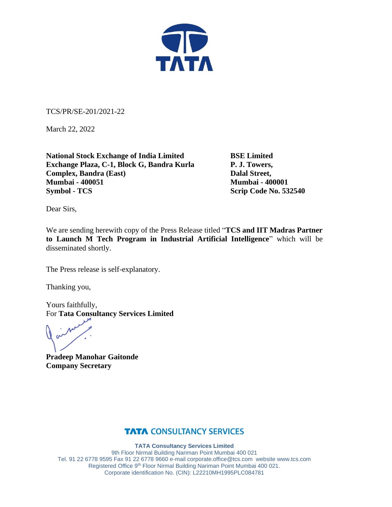

TCS/PR/SE-201/2021-22

March 22, 2022

**National Stock Exchange of India Limited BSE Limited Exchange Plaza, C-1, Block G, Bandra Kurla P. J. Towers, Complex, Bandra (East)** Dalal Street, **Mumbai - 400051 Mumbai - 400001 Symbol - TCS** Scrip Code No. 532540

Dear Sirs,

We are sending herewith copy of the Press Release titled "**TCS and IIT Madras Partner to Launch M Tech Program in Industrial Artificial Intelligence**" which will be disseminated shortly.

The Press release is self-explanatory.

Thanking you,

Yours faithfully, For **Tata Consultancy Services Limited**

**Pradeep Manohar Gaitonde Company Secretary**

### **TATA CONSULTANCY SERVICES**

**TATA Consultancy Services Limited** 9th Floor Nirmal Building Nariman Point Mumbai 400 021 Tel. 91 22 6778 9595 Fax 91 22 6778 9660 e-mai[l corporate.office@tcs.com](mailto:corporate.office@tcs.com) website www.tcs.com Registered Office 9th Floor Nirmal Building Nariman Point Mumbai 400 021.

Corporate identification No. (CIN): L22210MH1995PLC084781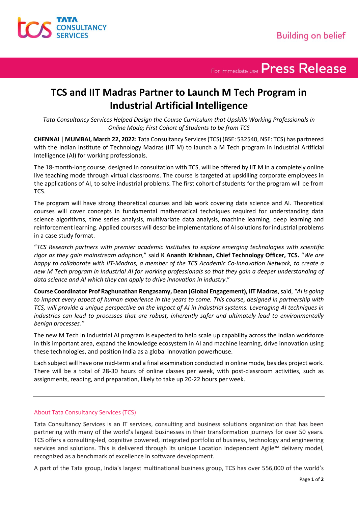

For immediate use Press Release

## **TCS and IIT Madras Partner to Launch M Tech Program in Industrial Artificial Intelligence**

*Tata Consultancy Services Helped Design the Course Curriculum that Upskills Working Professionals in Online Mode; First Cohort of Students to be from TCS*

**CHENNAI | MUMBAI, March 22, 2022:** Tata Consultancy Services (TCS) (BSE: 532540, NSE: TCS) has partnered with the Indian Institute of Technology Madras (IIT M) to launch a M Tech program in Industrial Artificial Intelligence (AI) for working professionals.

The 18-month-long course, designed in consultation with TCS, will be offered by IIT M in a completely online live teaching mode through virtual classrooms. The course is targeted at upskilling corporate employees in the applications of AI, to solve industrial problems. The first cohort of students for the program will be from TCS.

The program will have strong theoretical courses and lab work covering data science and AI. Theoretical courses will cover concepts in fundamental mathematical techniques required for understanding data science algorithms, time series analysis, multivariate data analysis, machine learning, deep learning and reinforcement learning. Applied courses will describe implementations of AI solutions for industrial problems in a case study format.

"*TCS Research partners with premier academic institutes to explore emerging technologies with scientific rigor as they gain mainstream adoption*," said **K Ananth Krishnan, Chief Technology Officer, TCS.** "*We are happy to collaborate with IIT-Madras, a member of the TCS Academic Co-Innovation Network, to create a new M Tech program in Industrial AI for working professionals so that they gain a deeper understanding of data science and AI which they can apply to drive innovation in industry*."

**Course Coordinator Prof Raghunathan Rengasamy, Dean (Global Engagement), IIT Madras**, said, *"AI is going to impact every aspect of human experience in the years to come. This course, designed in partnership with TCS, will provide a unique perspective on the impact of AI in industrial systems. Leveraging AI techniques in industries can lead to processes that are robust, inherently safer and ultimately lead to environmentally benign processes."*

The new M Tech in Industrial AI program is expected to help scale up capability across the Indian workforce in this important area, expand the knowledge ecosystem in AI and machine learning, drive innovation using these technologies, and position India as a global innovation powerhouse.

Each subject will have one mid-term and a final examination conducted in online mode, besides project work. There will be a total of 28-30 hours of online classes per week, with post-classroom activities, such as assignments, reading, and preparation, likely to take up 20-22 hours per week.

### About Tata Consultancy Services (TCS)

Tata Consultancy Services is an IT services, consulting and business solutions organization that has been partnering with many of the world's largest businesses in their transformation journeys for over 50 years. TCS offers a consulting-led, cognitive powered, integrated portfolio of business, technology and engineering services and solutions. This is delivered through its unique Location Independent Agile™ delivery model, recognized as a benchmark of excellence in software development.

A part of the Tata group, India's largest multinational business group, TCS has over 556,000 of the world's